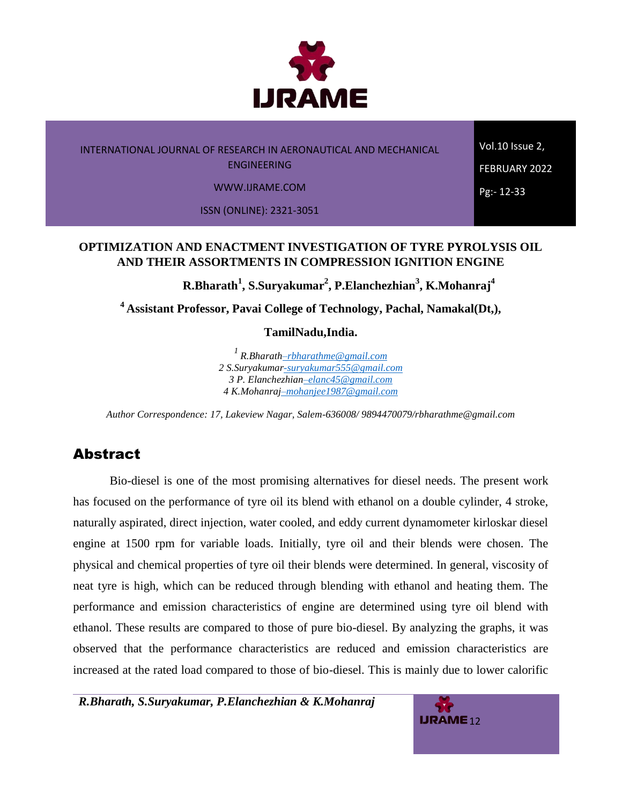

Vol.10 Issue 2, FEBRUARY 2022 Pg:- 12-33

WWW.IJRAME.COM

ISSN (ONLINE): 2321-3051

# **OPTIMIZATION AND ENACTMENT INVESTIGATION OF TYRE PYROLYSIS OIL AND THEIR ASSORTMENTS IN COMPRESSION IGNITION ENGINE**

**R.Bharath<sup>1</sup> , S.Suryakumar<sup>2</sup> , P.Elanchezhian<sup>3</sup> , K.Mohanraj<sup>4</sup>**

**<sup>4</sup>Assistant Professor, Pavai College of Technology, Pachal, Namakal(Dt,),** 

**TamilNadu,India.** 

*<sup>1</sup>R.Bharat[h–rbharathme@gmail.com](mailto:�rbharathme@gmail.com) 2 S.Suryakuma[r-suryakumar555@gmail.com](mailto:-suryakumar555@gmail.com) 3 P. Elanchezhia[n–elanc45@gmail.com](mailto:�elanc45@gmail.com) 4 K.Mohanra[j–mohanjee1987@gmail.com](mailto:�mohanjee1987@gmail.com)*

*Author Correspondence: 17, Lakeview Nagar, Salem-636008/ 9894470079/rbharathme@gmail.com*

# **Abstract**

Bio-diesel is one of the most promising alternatives for diesel needs. The present work has focused on the performance of tyre oil its blend with ethanol on a double cylinder, 4 stroke, naturally aspirated, direct injection, water cooled, and eddy current dynamometer kirloskar diesel engine at 1500 rpm for variable loads. Initially, tyre oil and their blends were chosen. The physical and chemical properties of tyre oil their blends were determined. In general, viscosity of neat tyre is high, which can be reduced through blending with ethanol and heating them. The performance and emission characteristics of engine are determined using tyre oil blend with ethanol. These results are compared to those of pure bio-diesel. By analyzing the graphs, it was observed that the performance characteristics are reduced and emission characteristics are increased at the rated load compared to those of bio-diesel. This is mainly due to lower calorific

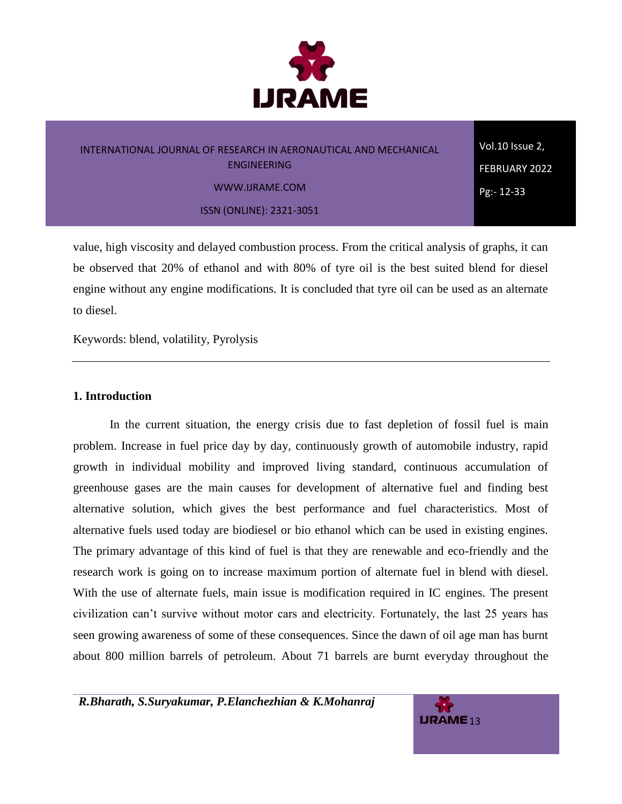

# INTERNATIONAL JOURNAL OF RESEARCH IN AERONAUTICAL AND MECHANICAL ENGINEERING WWW.IJRAME.COM ISSN (ONLINE): 2321-3051

Vol.10 Issue 2, FEBRUARY 2022 Pg:- 12-33

value, high viscosity and delayed combustion process. From the critical analysis of graphs, it can be observed that 20% of ethanol and with 80% of tyre oil is the best suited blend for diesel engine without any engine modifications. It is concluded that tyre oil can be used as an alternate to diesel.

Keywords: blend, volatility, Pyrolysis

### **1. Introduction**

In the current situation, the energy crisis due to fast depletion of fossil fuel is main problem. Increase in fuel price day by day, continuously growth of automobile industry, rapid growth in individual mobility and improved living standard, continuous accumulation of greenhouse gases are the main causes for development of alternative fuel and finding best alternative solution, which gives the best performance and fuel characteristics. Most of alternative fuels used today are biodiesel or bio ethanol which can be used in existing engines. The primary advantage of this kind of fuel is that they are renewable and eco-friendly and the research work is going on to increase maximum portion of alternate fuel in blend with diesel. With the use of alternate fuels, main issue is modification required in IC engines. The present civilization can't survive without motor cars and electricity. Fortunately, the last 25 years has seen growing awareness of some of these consequences. Since the dawn of oil age man has burnt about 800 million barrels of petroleum. About 71 barrels are burnt everyday throughout the

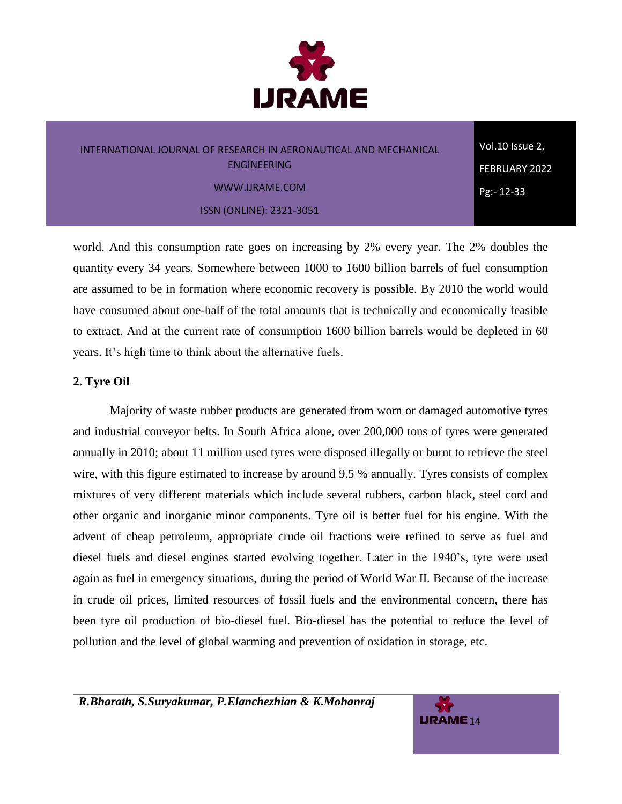

ISSN (ONLINE): 2321-3051

Vol.10 Issue 2, FEBRUARY 2022 Pg:- 12-33

world. And this consumption rate goes on increasing by 2% every year. The 2% doubles the quantity every 34 years. Somewhere between 1000 to 1600 billion barrels of fuel consumption are assumed to be in formation where economic recovery is possible. By 2010 the world would have consumed about one-half of the total amounts that is technically and economically feasible to extract. And at the current rate of consumption 1600 billion barrels would be depleted in 60 years. It's high time to think about the alternative fuels.

## **2. Tyre Oil**

Majority of waste rubber products are generated from worn or damaged automotive tyres and industrial conveyor belts. In South Africa alone, over 200,000 tons of tyres were generated annually in 2010; about 11 million used tyres were disposed illegally or burnt to retrieve the steel wire, with this figure estimated to increase by around 9.5 % annually. Tyres consists of complex mixtures of very different materials which include several rubbers, carbon black, steel cord and other organic and inorganic minor components. Tyre oil is better fuel for his engine. With the advent of cheap petroleum, appropriate crude oil fractions were refined to serve as fuel and diesel fuels and diesel engines started evolving together. Later in the 1940's, tyre were used again as fuel in emergency situations, during the period of World War II. Because of the increase in crude oil prices, limited resources of fossil fuels and the environmental concern, there has been tyre oil production of bio-diesel fuel. Bio-diesel has the potential to reduce the level of pollution and the level of global warming and prevention of oxidation in storage, etc.

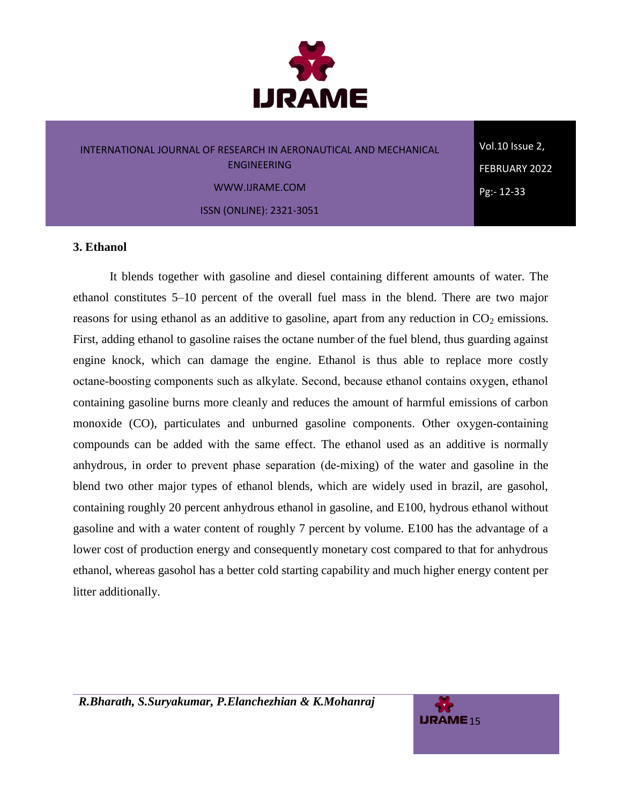

Vol.10 Issue 2, FEBRUARY 2022 Pg:- 12-33

#### WWW.IJRAME.COM

ISSN (ONLINE): 2321-3051

#### **3. Ethanol**

It blends together with gasoline and diesel containing different amounts of water. The ethanol constitutes 5–10 percent of the overall fuel mass in the blend. There are two major reasons for using ethanol as an additive to gasoline, apart from any reduction in  $CO<sub>2</sub>$  emissions. First, adding ethanol to gasoline raises the octane number of the fuel blend, thus guarding against engine knock, which can damage the engine. Ethanol is thus able to replace more costly octane‐boosting components such as alkylate. Second, because ethanol contains oxygen, ethanol containing gasoline burns more cleanly and reduces the amount of harmful emissions of carbon monoxide (CO), particulates and unburned gasoline components. Other oxygen-containing compounds can be added with the same effect. The ethanol used as an additive is normally anhydrous, in order to prevent phase separation (de‐mixing) of the water and gasoline in the blend two other major types of ethanol blends, which are widely used in brazil, are gasohol, containing roughly 20 percent anhydrous ethanol in gasoline, and E100, hydrous ethanol without gasoline and with a water content of roughly 7 percent by volume. E100 has the advantage of a lower cost of production energy and consequently monetary cost compared to that for anhydrous ethanol, whereas gasohol has a better cold starting capability and much higher energy content per litter additionally.

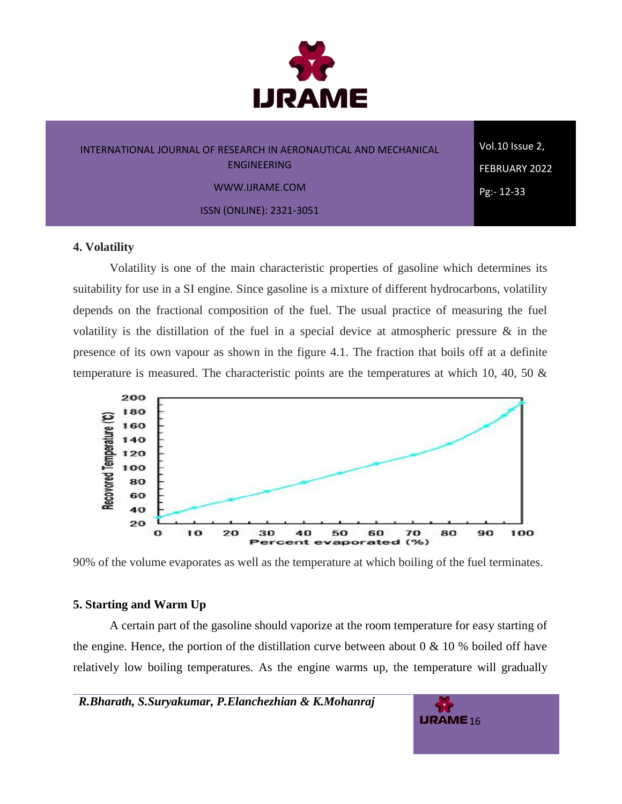

Vol.10 Issue 2, FEBRUARY 2022 Pg:- 12-33

WWW.IJRAME.COM

ISSN (ONLINE): 2321-3051

#### **4. Volatility**

Volatility is one of the main characteristic properties of gasoline which determines its suitability for use in a SI engine. Since gasoline is a mixture of different hydrocarbons, volatility depends on the fractional composition of the fuel. The usual practice of measuring the fuel volatility is the distillation of the fuel in a special device at atmospheric pressure & in the presence of its own vapour as shown in the figure 4.1. The fraction that boils off at a definite temperature is measured. The characteristic points are the temperatures at which 10, 40, 50 &



90% of the volume evaporates as well as the temperature at which boiling of the fuel terminates.

#### **5. Starting and Warm Up**

A certain part of the gasoline should vaporize at the room temperature for easy starting of the engine. Hence, the portion of the distillation curve between about 0  $\&$  10 % boiled off have relatively low boiling temperatures. As the engine warms up, the temperature will gradually

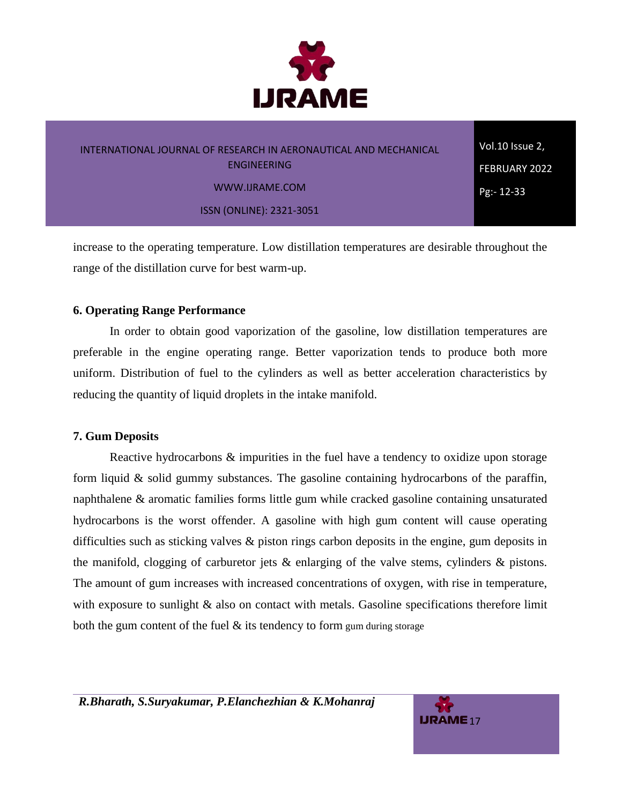

# INTERNATIONAL JOURNAL OF RESEARCH IN AERONAUTICAL AND MECHANICAL ENGINEERING WWW.IJRAME.COM ISSN (ONLINE): 2321-3051

Vol.10 Issue 2, FEBRUARY 2022 Pg:- 12-33

increase to the operating temperature. Low distillation temperatures are desirable throughout the range of the distillation curve for best warm-up.

## **6. Operating Range Performance**

In order to obtain good vaporization of the gasoline, low distillation temperatures are preferable in the engine operating range. Better vaporization tends to produce both more uniform. Distribution of fuel to the cylinders as well as better acceleration characteristics by reducing the quantity of liquid droplets in the intake manifold.

## **7. Gum Deposits**

Reactive hydrocarbons  $\&$  impurities in the fuel have a tendency to oxidize upon storage form liquid & solid gummy substances. The gasoline containing hydrocarbons of the paraffin, naphthalene & aromatic families forms little gum while cracked gasoline containing unsaturated hydrocarbons is the worst offender. A gasoline with high gum content will cause operating difficulties such as sticking valves & piston rings carbon deposits in the engine, gum deposits in the manifold, clogging of carburetor jets & enlarging of the valve stems, cylinders & pistons. The amount of gum increases with increased concentrations of oxygen, with rise in temperature, with exposure to sunlight  $\&$  also on contact with metals. Gasoline specifications therefore limit both the gum content of the fuel  $\&$  its tendency to form gum during storage

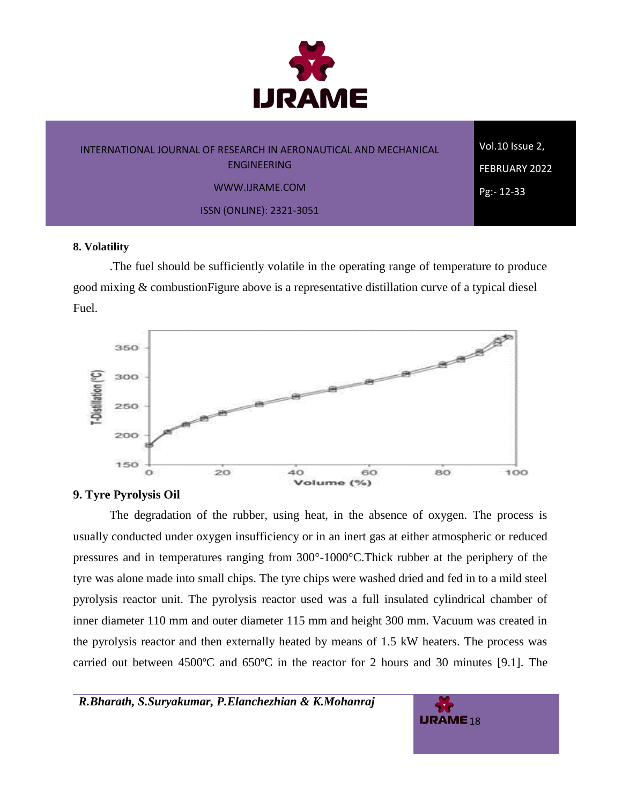

# INTERNATIONAL JOURNAL OF RESEARCH IN AERONAUTICAL AND MECHANICAL ENGINEERING WWW.IJRAME.COM ISSN (ONLINE): 2321-3051

Vol.10 Issue 2, FEBRUARY 2022 Pg:- 12-33

#### **8. Volatility**

.The fuel should be sufficiently volatile in the operating range of temperature to produce good mixing & combustionFigure above is a representative distillation curve of a typical diesel Fuel.



#### **9. Tyre Pyrolysis Oil**

The degradation of the rubber, using heat, in the absence of oxygen. The process is usually conducted under oxygen insufficiency or in an inert gas at either atmospheric or reduced pressures and in temperatures ranging from 300°-1000°C.Thick rubber at the periphery of the tyre was alone made into small chips. The tyre chips were washed dried and fed in to a mild steel pyrolysis reactor unit. The pyrolysis reactor used was a full insulated cylindrical chamber of inner diameter 110 mm and outer diameter 115 mm and height 300 mm. Vacuum was created in the pyrolysis reactor and then externally heated by means of 1.5 kW heaters. The process was carried out between 4500ºC and 650ºC in the reactor for 2 hours and 30 minutes [9.1]. The

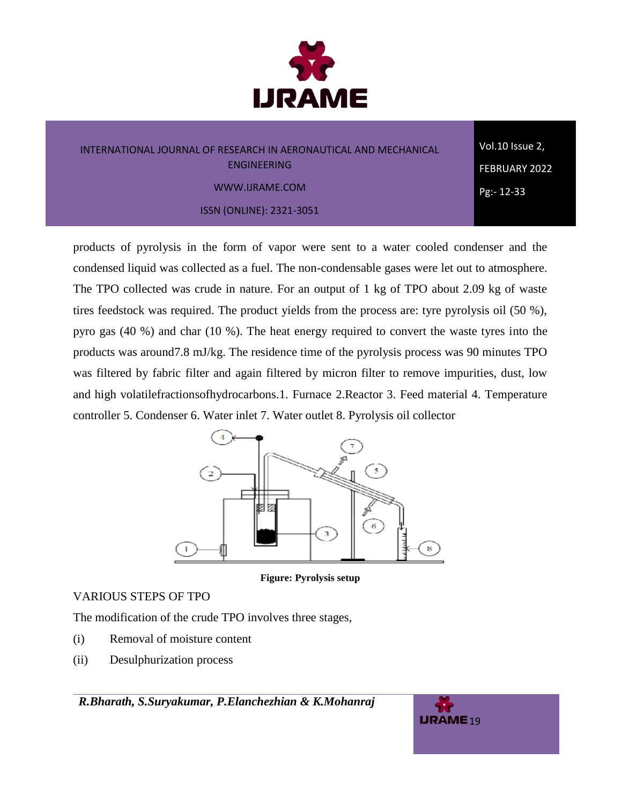

Vol.10 Issue 2, FEBRUARY 2022 Pg:- 12-33

ISSN (ONLINE): 2321-3051

products of pyrolysis in the form of vapor were sent to a water cooled condenser and the condensed liquid was collected as a fuel. The non-condensable gases were let out to atmosphere. The TPO collected was crude in nature. For an output of 1 kg of TPO about 2.09 kg of waste tires feedstock was required. The product yields from the process are: tyre pyrolysis oil (50 %), pyro gas (40 %) and char (10 %). The heat energy required to convert the waste tyres into the products was around7.8 mJ/kg. The residence time of the pyrolysis process was 90 minutes TPO was filtered by fabric filter and again filtered by micron filter to remove impurities, dust, low and high volatilefractionsofhydrocarbons.1. Furnace 2.Reactor 3. Feed material 4. Temperature controller 5. Condenser 6. Water inlet 7. Water outlet 8. Pyrolysis oil collector



**Figure: Pyrolysis setup**

# VARIOUS STEPS OF TPO

The modification of the crude TPO involves three stages,

- (i) Removal of moisture content
- (ii) Desulphurization process

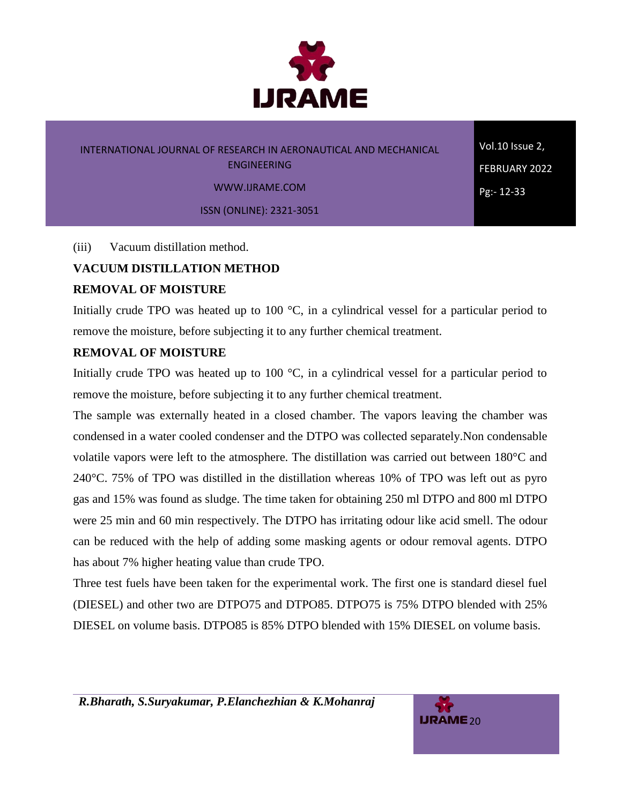

Vol.10 Issue 2, FEBRUARY 2022 Pg:- 12-33

WWW.IJRAME.COM

ISSN (ONLINE): 2321-3051

(iii) Vacuum distillation method.

# **VACUUM DISTILLATION METHOD**

## **REMOVAL OF MOISTURE**

Initially crude TPO was heated up to 100 °C, in a cylindrical vessel for a particular period to remove the moisture, before subjecting it to any further chemical treatment.

# **REMOVAL OF MOISTURE**

Initially crude TPO was heated up to 100 °C, in a cylindrical vessel for a particular period to remove the moisture, before subjecting it to any further chemical treatment.

The sample was externally heated in a closed chamber. The vapors leaving the chamber was condensed in a water cooled condenser and the DTPO was collected separately.Non condensable volatile vapors were left to the atmosphere. The distillation was carried out between 180°C and 240°C. 75% of TPO was distilled in the distillation whereas 10% of TPO was left out as pyro gas and 15% was found as sludge. The time taken for obtaining 250 ml DTPO and 800 ml DTPO were 25 min and 60 min respectively. The DTPO has irritating odour like acid smell. The odour can be reduced with the help of adding some masking agents or odour removal agents. DTPO has about 7% higher heating value than crude TPO.

Three test fuels have been taken for the experimental work. The first one is standard diesel fuel (DIESEL) and other two are DTPO75 and DTPO85. DTPO75 is 75% DTPO blended with 25% DIESEL on volume basis. DTPO85 is 85% DTPO blended with 15% DIESEL on volume basis.

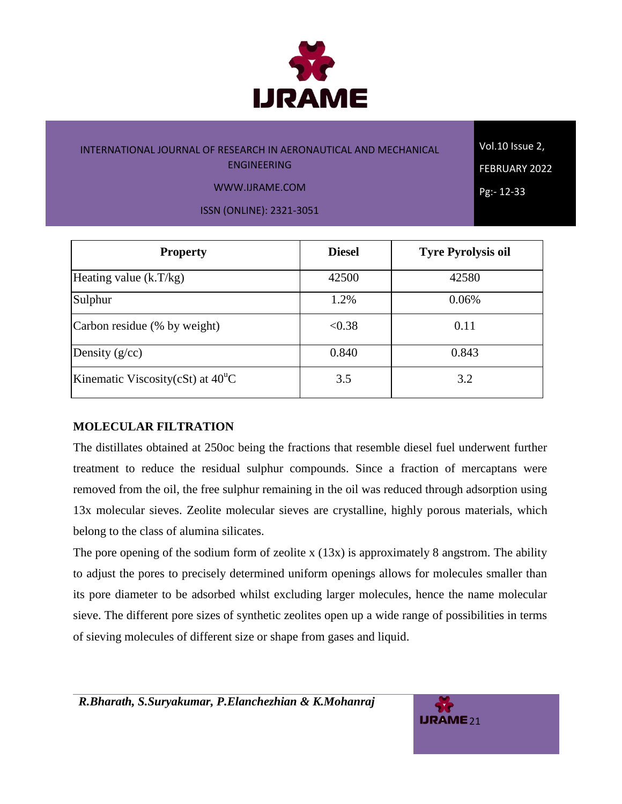

Vol.10 Issue 2, FEBRUARY 2022 Pg:- 12-33

WWW.IJRAME.COM

ISSN (ONLINE): 2321-3051

| <b>Property</b>                            | <b>Diesel</b> | <b>Tyre Pyrolysis oil</b> |
|--------------------------------------------|---------------|---------------------------|
| Heating value $(k.T/kg)$                   | 42500         | 42580                     |
| Sulphur                                    | 1.2%          | 0.06%                     |
| Carbon residue (% by weight)               | < 0.38        | 0.11                      |
| Density $(g/cc)$                           | 0.840         | 0.843                     |
| Kinematic Viscosity(cSt) at $40^{\circ}$ C | 3.5           | 3.2                       |

# **MOLECULAR FILTRATION**

The distillates obtained at 250oc being the fractions that resemble diesel fuel underwent further treatment to reduce the residual sulphur compounds. Since a fraction of mercaptans were removed from the oil, the free sulphur remaining in the oil was reduced through adsorption using 13x molecular sieves. Zeolite molecular sieves are crystalline, highly porous materials, which belong to the class of alumina silicates.

The pore opening of the sodium form of zeolite x  $(13x)$  is approximately 8 angstrom. The ability to adjust the pores to precisely determined uniform openings allows for molecules smaller than its pore diameter to be adsorbed whilst excluding larger molecules, hence the name molecular sieve. The different pore sizes of synthetic zeolites open up a wide range of possibilities in terms of sieving molecules of different size or shape from gases and liquid.

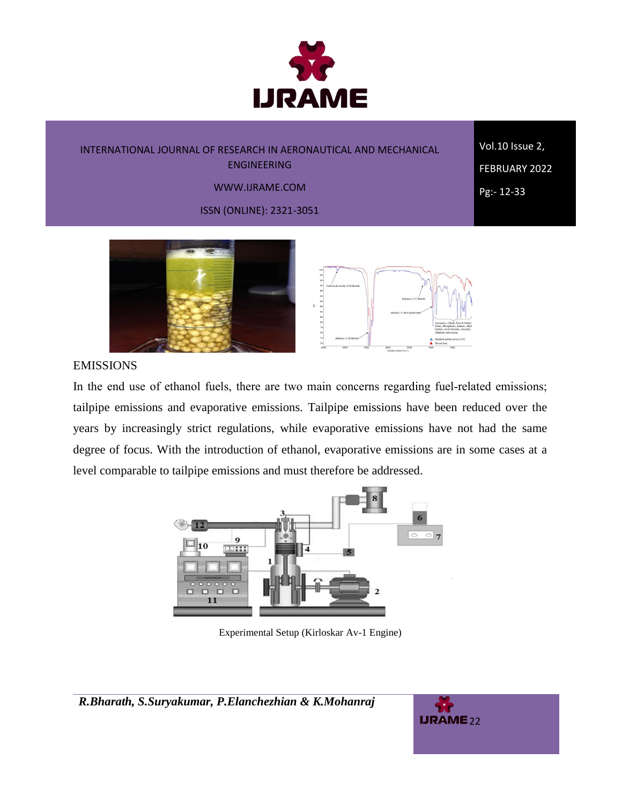

Vol.10 Issue 2, FEBRUARY 2022 Pg:- 12-33

#### WWW.IJRAME.COM

ISSN (ONLINE): 2321-3051





## EMISSIONS

In the end use of ethanol fuels, there are two main concerns regarding fuel-related emissions; tailpipe emissions and evaporative emissions. Tailpipe emissions have been reduced over the years by increasingly strict regulations, while evaporative emissions have not had the same degree of focus. With the introduction of ethanol, evaporative emissions are in some cases at a level comparable to tailpipe emissions and must therefore be addressed.



Experimental Setup (Kirloskar Av-1 Engine)

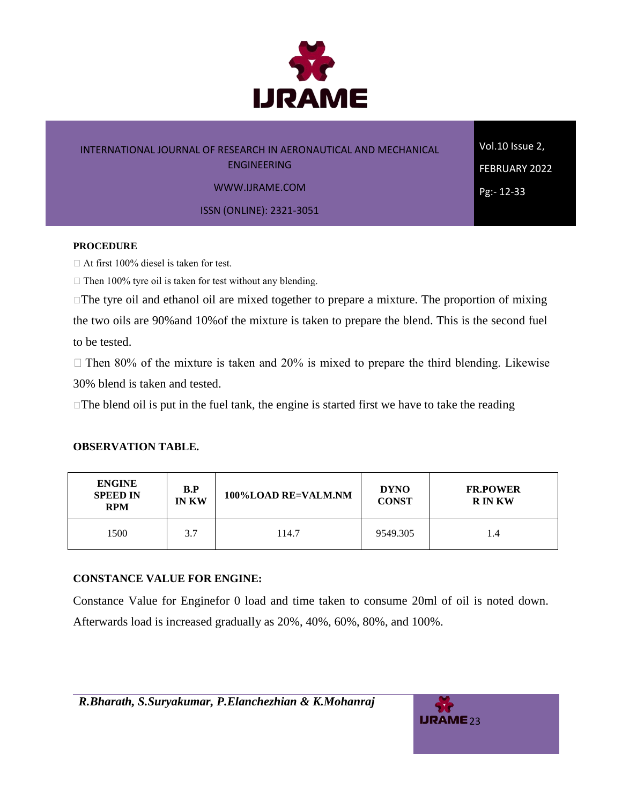

Vol.10 Issue 2, FEBRUARY 2022 Pg:- 12-33

WWW.IJRAME.COM

ISSN (ONLINE): 2321-3051

#### **PROCEDURE**

At first 100% diesel is taken for test.

 $\Box$  Then 100% tyre oil is taken for test without any blending.

 $\Box$  The tyre oil and ethanol oil are mixed together to prepare a mixture. The proportion of mixing the two oils are 90%and 10%of the mixture is taken to prepare the blend. This is the second fuel to be tested.

 $\Box$  Then 80% of the mixture is taken and 20% is mixed to prepare the third blending. Likewise 30% blend is taken and tested.

 $\Box$  The blend oil is put in the fuel tank, the engine is started first we have to take the reading

#### **OBSERVATION TABLE.**

| <b>ENGINE</b><br><b>SPEED IN</b><br><b>RPM</b> | $\bf{B}.\bf{P}$<br><b>IN KW</b> | 100%LOAD RE=VALM.NM | <b>DYNO</b><br><b>CONST</b> | <b>FR.POWER</b><br><b>RINKW</b> |
|------------------------------------------------|---------------------------------|---------------------|-----------------------------|---------------------------------|
| 1500                                           | 3.7                             | 114.7               | 9549.305                    | 1.4                             |

#### **CONSTANCE VALUE FOR ENGINE:**

Constance Value for Enginefor 0 load and time taken to consume 20ml of oil is noted down. Afterwards load is increased gradually as 20%, 40%, 60%, 80%, and 100%.

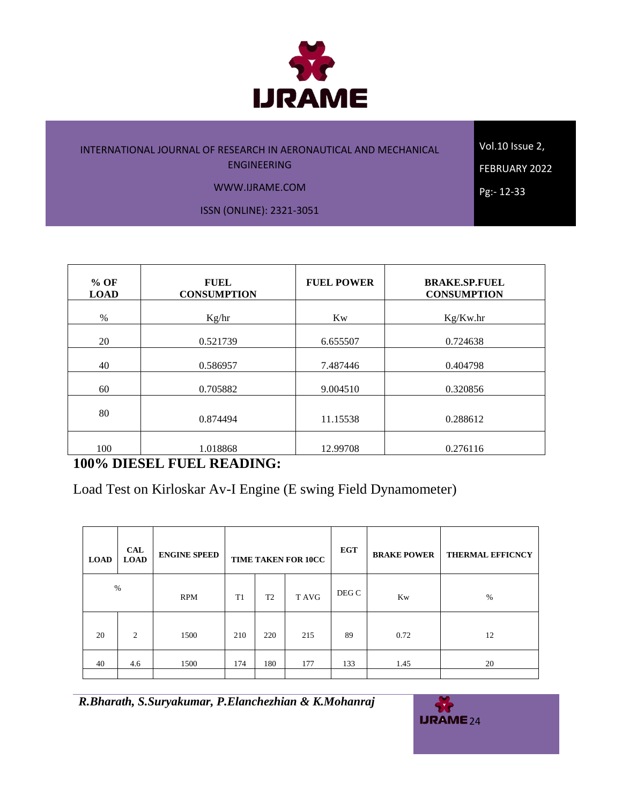

Vol.10 Issue 2, FEBRUARY 2022

Pg:- 12-33

WWW.IJRAME.COM

ISSN (ONLINE): 2321-3051

**% OF LOAD FUEL CONSUMPTION FUEL POWER BRAKE.SP.FUEL CONSUMPTION** % Kg/hr Kg/hr Kw Kg/Kw.hr 20 0.521739 6.655507 0.724638 40 0.586957 1.487446 0.404798 60 0.705882 9.004510 0.320856 80 0.874494 11.15538 0.288612 100 1.018868 12.99708 0.276116

# **100% DIESEL FUEL READING:**

Load Test on Kirloskar Av-I Engine (E swing Field Dynamometer)

| <b>LOAD</b> | <b>CAL</b><br><b>LOAD</b> | <b>ENGINE SPEED</b> | TIME TAKEN FOR 10CC |                         | <b>EGT</b> | <b>BRAKE POWER</b> | <b>THERMAL EFFICNCY</b> |      |
|-------------|---------------------------|---------------------|---------------------|-------------------------|------------|--------------------|-------------------------|------|
|             | $\%$                      | <b>RPM</b>          | T <sub>1</sub>      | T <sub>2</sub><br>T AVG |            | DEG C              | <b>Kw</b>               | $\%$ |
| 20          | 2                         | 1500                | 210                 | 220                     | 215        | 89                 | 0.72                    | 12   |
| 40          | 4.6                       | 1500                | 174                 | 180                     | 177        | 133                | 1.45                    | 20   |

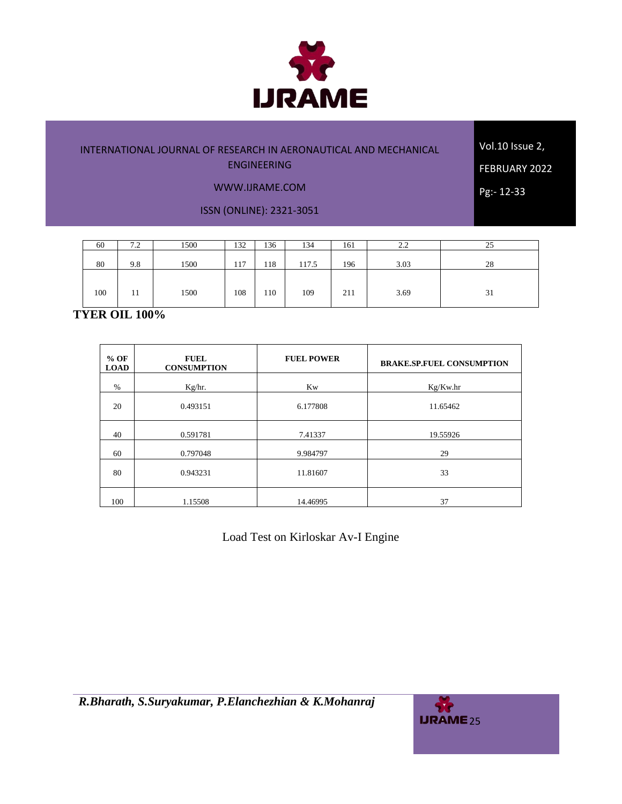

Vol.10 Issue 2, FEBRUARY 2022

Pg:- 12-33

#### WWW.IJRAME.COM

ISSN (ONLINE): 2321-3051

| 60  | 7.2 | 1500 | 132 | 136 | 134   | 161 | 2.2  | ل ک           |
|-----|-----|------|-----|-----|-------|-----|------|---------------|
| 80  | 9.8 | 1500 | 117 | 118 | 117.5 | 196 | 3.03 | 28            |
|     |     |      |     |     |       |     |      |               |
| 100 |     | 1500 | 108 | 110 | 109   | 211 | 3.69 | $\sim$<br>-51 |

# **TYER OIL 100%**

| $%$ OF<br><b>LOAD</b> | <b>FUEL</b><br><b>CONSUMPTION</b> | <b>FUEL POWER</b> | <b>BRAKE.SP.FUEL CONSUMPTION</b> |
|-----------------------|-----------------------------------|-------------------|----------------------------------|
| $\%$                  | Kg/hr.                            | Kw                | Kg/Kw.hr                         |
| 20                    | 0.493151                          | 6.177808          | 11.65462                         |
| 40                    | 0.591781                          | 7.41337           | 19.55926                         |
| 60                    | 0.797048                          | 9.984797          | 29                               |
| 80                    | 0.943231                          | 11.81607          | 33                               |
| 100                   | 1.15508                           | 14.46995          | 37                               |

Load Test on Kirloskar Av-I Engine

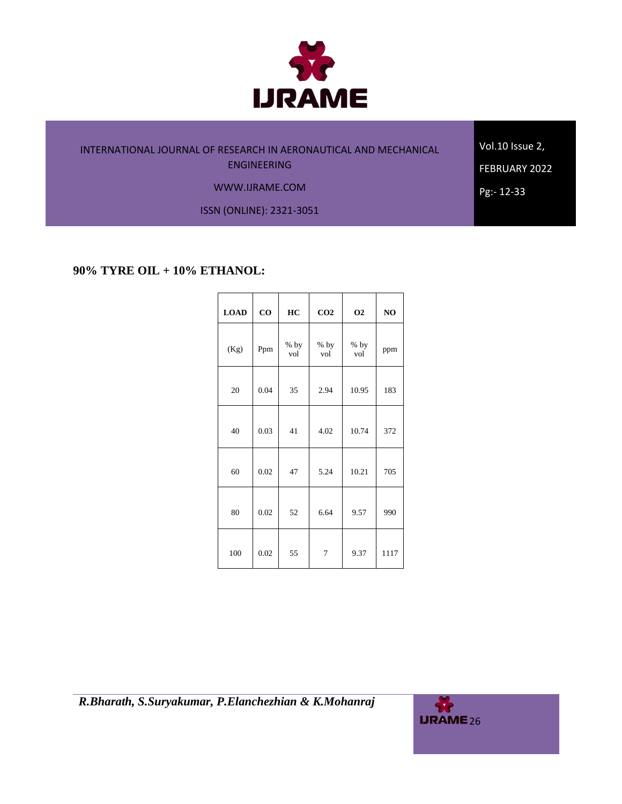

Vol.10 Issue 2, FEBRUARY 2022

Pg:- 12-33

WWW.IJRAME.COM

ISSN (ONLINE): 2321-3051

## **90% TYRE OIL + 10% ETHANOL:**

| <b>LOAD</b> | $\bf{CO}$ | HC            | CO <sub>2</sub> | <b>O2</b>     | NO   |
|-------------|-----------|---------------|-----------------|---------------|------|
| (Kg)        | Ppm       | $%$ by<br>vol | $%$ by<br>vol   | $%$ by<br>vol | ppm  |
| 20          | 0.04      | 35            | 2.94            | 10.95         | 183  |
| 40          | 0.03      | 41            | 4.02            | 10.74         | 372  |
| 60          | 0.02      | 47            | 5.24            | 10.21         | 705  |
| 80          | 0.02      | 52            | 6.64            | 9.57          | 990  |
| 100         | 0.02      | 55            | 7               | 9.37          | 1117 |

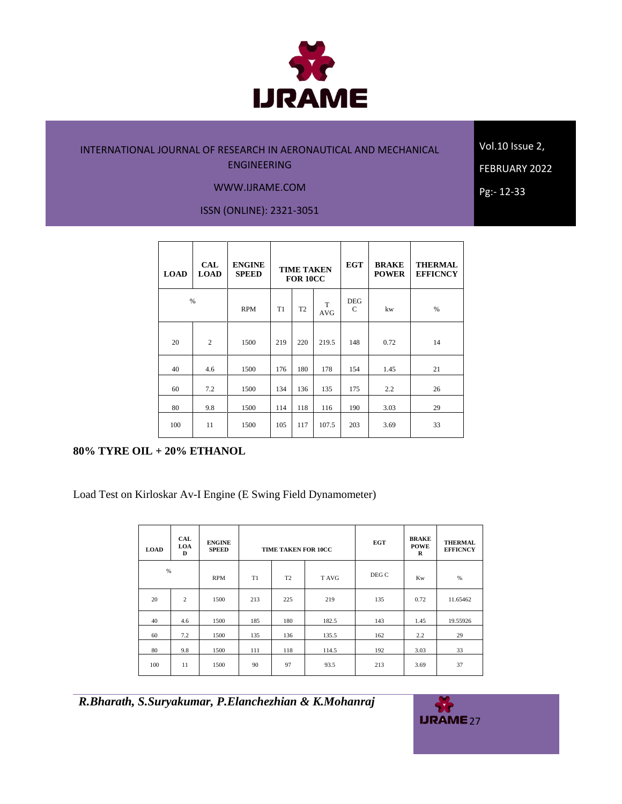

Vol.10 Issue 2,

WWW.IJRAME.COM

FEBRUARY 2022

Pg:- 12-33

ISSN (ONLINE): 2321-3051

| <b>LOAD</b> | <b>CAL</b><br><b>LOAD</b> | <b>ENGINE</b><br><b>SPEED</b> | <b>TIME TAKEN</b><br><b>FOR 10CC</b> |                |                 | <b>EGT</b>                  | <b>BRAKE</b><br><b>POWER</b> | <b>THERMAL</b><br><b>EFFICNCY</b> |
|-------------|---------------------------|-------------------------------|--------------------------------------|----------------|-----------------|-----------------------------|------------------------------|-----------------------------------|
| %           |                           | <b>RPM</b>                    | T1                                   | T <sub>2</sub> | T<br><b>AVG</b> | <b>DEG</b><br>$\mathcal{C}$ | kw                           | %                                 |
| 20          | $\overline{c}$            | 1500                          | 219                                  | 220            | 219.5           | 148                         | 0.72                         | 14                                |
| 40          | 4.6                       | 1500                          | 176                                  | 180            | 178             | 154                         | 1.45                         | 21                                |
| 60          | 7.2                       | 1500                          | 134                                  | 136            | 135             | 175                         | 2.2                          | 26                                |
| 80          | 9.8                       | 1500                          | 114                                  | 118            | 116             | 190                         | 3.03                         | 29                                |
| 100         | 11                        | 1500                          | 105                                  | 117            | 107.5           | 203                         | 3.69                         | 33                                |

## **80% TYRE OIL + 20% ETHANOL**

Load Test on Kirloskar Av-I Engine (E Swing Field Dynamometer)

| <b>LOAD</b> | <b>CAL</b><br>LOA<br>D | <b>ENGINE</b><br><b>SPEED</b> |     | <b>TIME TAKEN FOR 10CC</b> |       | <b>EGT</b> | <b>BRAKE</b><br><b>POWE</b><br>R | <b>THERMAL</b><br><b>EFFICNCY</b> |
|-------------|------------------------|-------------------------------|-----|----------------------------|-------|------------|----------------------------------|-----------------------------------|
| %           |                        | <b>RPM</b>                    | T1  | T <sub>2</sub>             | T AVG | DEG C      | <b>Kw</b>                        | %                                 |
| 20          | 2                      | 1500                          | 213 | 225                        | 219   | 135        | 0.72                             | 11.65462                          |
| 40          | 4.6                    | 1500                          | 185 | 180                        | 182.5 | 143        | 1.45                             | 19.55926                          |
| 60          | 7.2                    | 1500                          | 135 | 136                        | 135.5 | 162        | 2.2                              | 29                                |
| 80          | 9.8                    | 1500                          | 111 | 118                        | 114.5 | 192        | 3.03                             | 33                                |
| 100         | 11                     | 1500                          | 90  | 97                         | 93.5  | 213        | 3.69                             | 37                                |

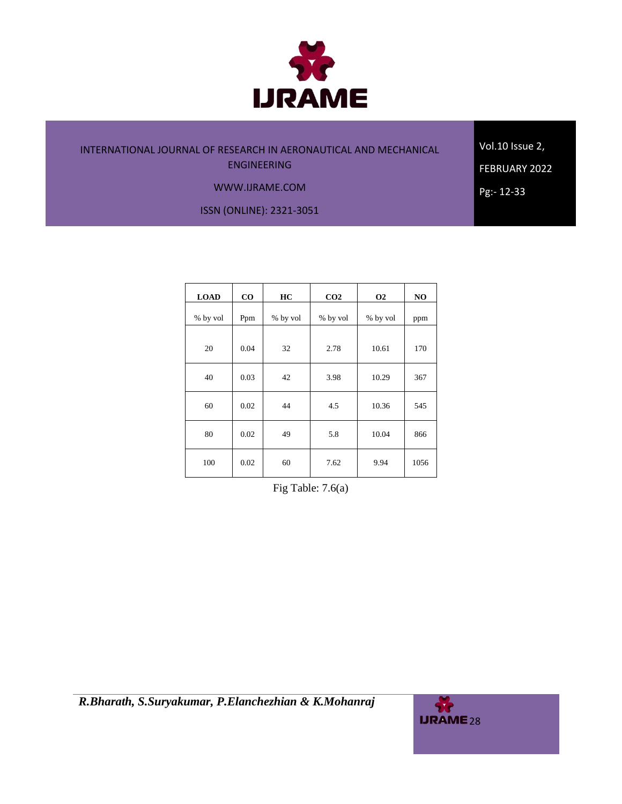

Vol.10 Issue 2, FEBRUARY 2022

Pg:- 12-33

#### WWW.IJRAME.COM

ISSN (ONLINE): 2321-3051

| <b>LOAD</b> | $\bf CO$ | HC       | CO <sub>2</sub> | <b>O2</b> | NO   |
|-------------|----------|----------|-----------------|-----------|------|
| % by vol    | Ppm      | % by vol | % by vol        | % by vol  | ppm  |
| 20          | 0.04     | 32       | 2.78            | 10.61     | 170  |
| 40          | 0.03     | 42       | 3.98            | 10.29     | 367  |
| 60          | 0.02     | 44       | 4.5             | 10.36     | 545  |
| 80          | 0.02     | 49       | 5.8             | 10.04     | 866  |
| 100         | 0.02     | 60       | 7.62            | 9.94      | 1056 |

Fig Table: 7.6(a)

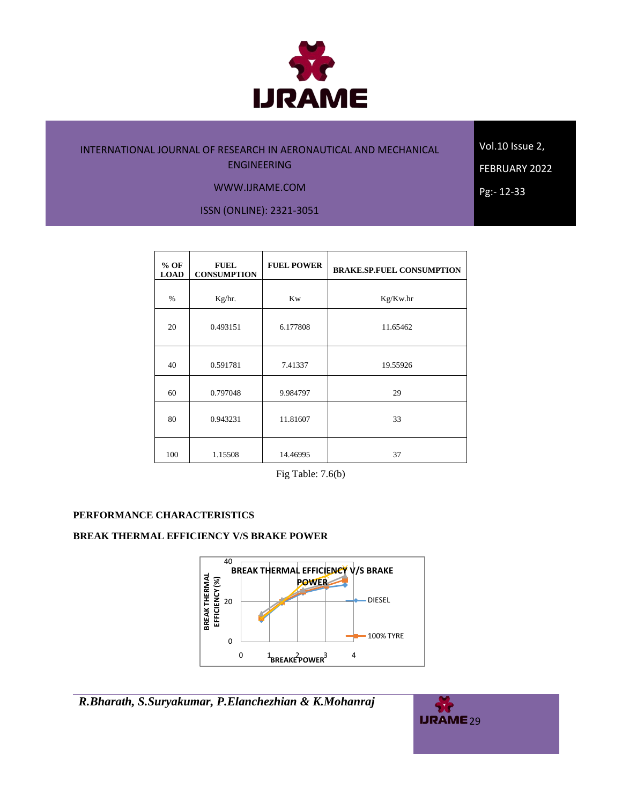

Vol.10 Issue 2,

FEBRUARY 2022

Pg:- 12-33

WWW.IJRAME.COM

ISSN (ONLINE): 2321-3051

| $%$ OF<br><b>LOAD</b> | <b>FUEL</b><br><b>CONSUMPTION</b> | <b>FUEL POWER</b> | <b>BRAKE.SP.FUEL CONSUMPTION</b> |
|-----------------------|-----------------------------------|-------------------|----------------------------------|
| $\%$                  | Kg/hr.                            | <b>Kw</b>         | Kg/Kw.hr                         |
| 20                    | 0.493151                          | 6.177808          | 11.65462                         |
| 40                    | 0.591781                          | 7.41337           | 19.55926                         |
| 60                    | 0.797048                          | 9.984797          | 29                               |
| 80                    | 0.943231                          | 11.81607          | 33                               |
| 100                   | 1.15508                           | 14.46995          | 37                               |

Fig Table: 7.6(b)

## **PERFORMANCE CHARACTERISTICS**

## **BREAK THERMAL EFFICIENCY V/S BRAKE POWER**



*R.Bharath, S.Suryakumar, P.Elanchezhian & K.Mohanraj*

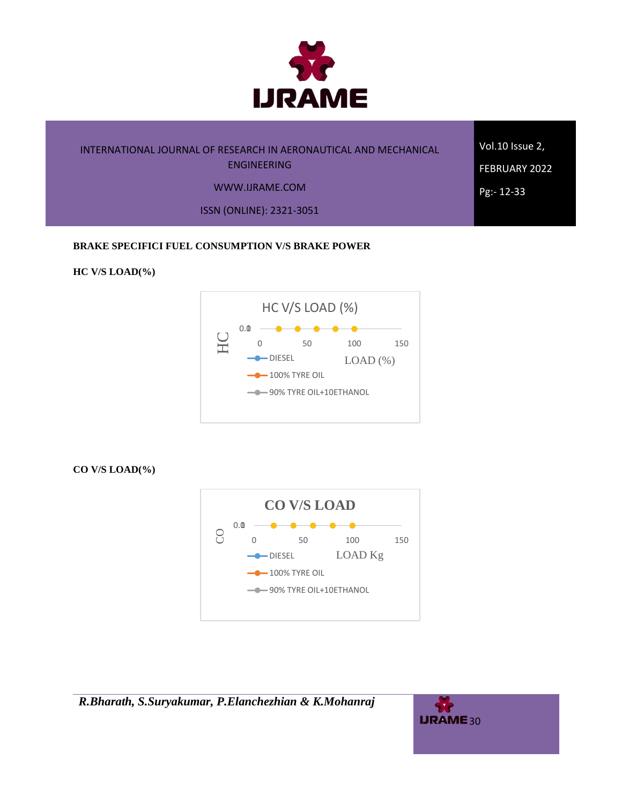

Vol.10 Issue 2, FEBRUARY 2022 Pg:- 12-33

#### WWW.IJRAME.COM

ISSN (ONLINE): 2321-3051

#### **BRAKE SPECIFICI FUEL CONSUMPTION V/S BRAKE POWER**

#### **HC V/S LOAD(%)**



**CO V/S LOAD(%)**



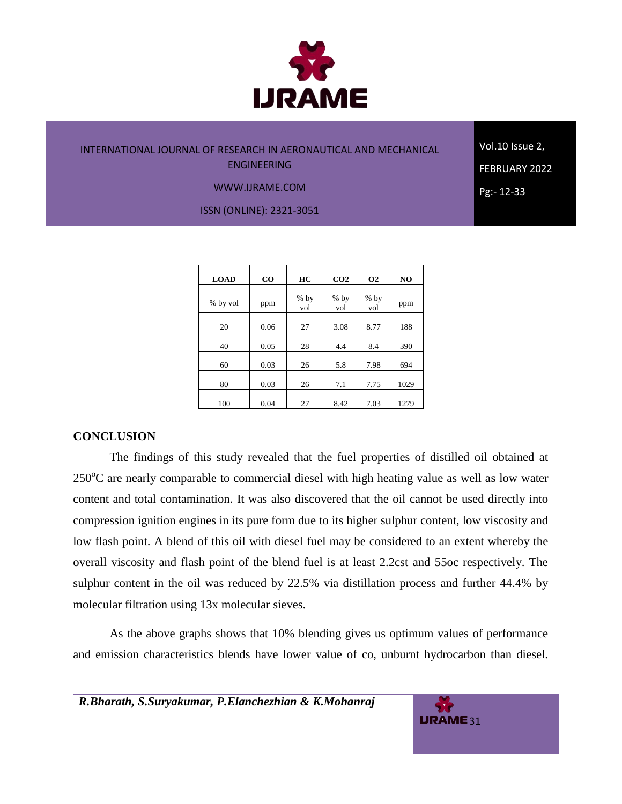

Vol.10 Issue 2, FEBRUARY 2022 Pg:- 12-33

#### WWW.IJRAME.COM

ISSN (ONLINE): 2321-3051

| <b>LOAD</b> | $\bf{CO}$ | HC            | CO <sub>2</sub> | <b>O<sub>2</sub></b> | NO   |
|-------------|-----------|---------------|-----------------|----------------------|------|
| % by vol    | ppm       | $%$ by<br>vol | $%$ by<br>vol   | $%$ by<br>vol        | ppm  |
| 20          | 0.06      | 27            | 3.08            | 8.77                 | 188  |
| 40          | 0.05      | 28            | 4.4             | 8.4                  | 390  |
| 60          | 0.03      | 26            | 5.8             | 7.98                 | 694  |
| 80          | 0.03      | 26            | 7.1             | 7.75                 | 1029 |
| 100         | 0.04      | 27            | 8.42            | 7.03                 | 1279 |

#### **CONCLUSION**

The findings of this study revealed that the fuel properties of distilled oil obtained at  $250^{\circ}$ C are nearly comparable to commercial diesel with high heating value as well as low water content and total contamination. It was also discovered that the oil cannot be used directly into compression ignition engines in its pure form due to its higher sulphur content, low viscosity and low flash point. A blend of this oil with diesel fuel may be considered to an extent whereby the overall viscosity and flash point of the blend fuel is at least 2.2cst and 55oc respectively. The sulphur content in the oil was reduced by 22.5% via distillation process and further 44.4% by molecular filtration using 13x molecular sieves.

As the above graphs shows that 10% blending gives us optimum values of performance and emission characteristics blends have lower value of co, unburnt hydrocarbon than diesel.

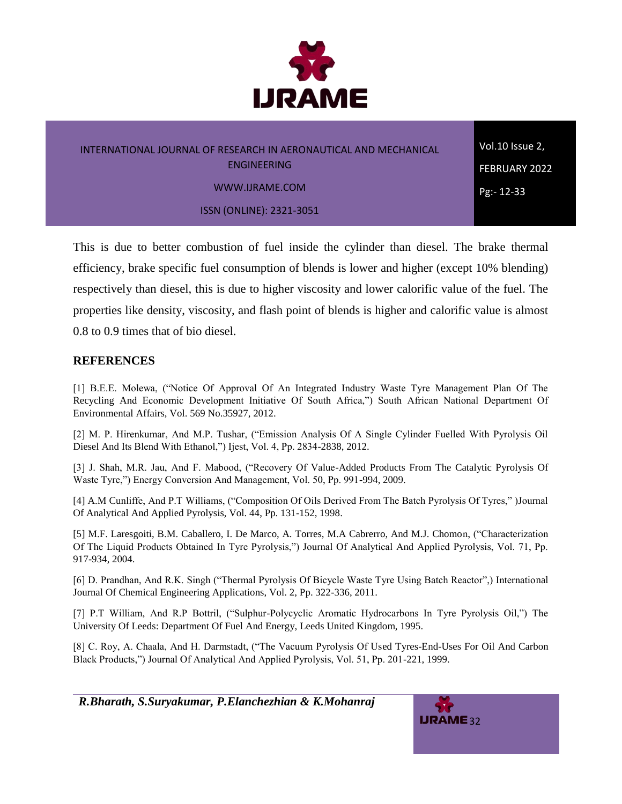

Vol.10 Issue 2, FEBRUARY 2022 Pg:- 12-33

ISSN (ONLINE): 2321-3051

This is due to better combustion of fuel inside the cylinder than diesel. The brake thermal efficiency, brake specific fuel consumption of blends is lower and higher (except 10% blending) respectively than diesel, this is due to higher viscosity and lower calorific value of the fuel. The properties like density, viscosity, and flash point of blends is higher and calorific value is almost 0.8 to 0.9 times that of bio diesel.

# **REFERENCES**

[1] B.E.E. Molewa, ("Notice Of Approval Of An Integrated Industry Waste Tyre Management Plan Of The Recycling And Economic Development Initiative Of South Africa,") South African National Department Of Environmental Affairs, Vol. 569 No.35927, 2012.

[2] M. P. Hirenkumar, And M.P. Tushar, ("Emission Analysis Of A Single Cylinder Fuelled With Pyrolysis Oil Diesel And Its Blend With Ethanol,") Ijest, Vol. 4, Pp. 2834-2838, 2012.

[3] J. Shah, M.R. Jau, And F. Mabood, ("Recovery Of Value-Added Products From The Catalytic Pyrolysis Of Waste Tyre,") Energy Conversion And Management, Vol. 50, Pp. 991-994, 2009.

[4] A.M Cunliffe, And P.T Williams, ("Composition Of Oils Derived From The Batch Pyrolysis Of Tyres," )Journal Of Analytical And Applied Pyrolysis, Vol. 44, Pp. 131-152, 1998.

[5] M.F. Laresgoiti, B.M. Caballero, I. De Marco, A. Torres, M.A Cabrerro, And M.J. Chomon, ("Characterization Of The Liquid Products Obtained In Tyre Pyrolysis,") Journal Of Analytical And Applied Pyrolysis, Vol. 71, Pp. 917-934, 2004.

[6] D. Prandhan, And R.K. Singh ("Thermal Pyrolysis Of Bicycle Waste Tyre Using Batch Reactor",) International Journal Of Chemical Engineering Applications, Vol. 2, Pp. 322-336, 2011.

[7] P.T William, And R.P Bottril, ("Sulphur-Polycyclic Aromatic Hydrocarbons In Tyre Pyrolysis Oil,") The University Of Leeds: Department Of Fuel And Energy, Leeds United Kingdom, 1995.

[8] C. Roy, A. Chaala, And H. Darmstadt, ("The Vacuum Pyrolysis Of Used Tyres-End-Uses For Oil And Carbon Black Products,") Journal Of Analytical And Applied Pyrolysis, Vol. 51, Pp. 201-221, 1999.